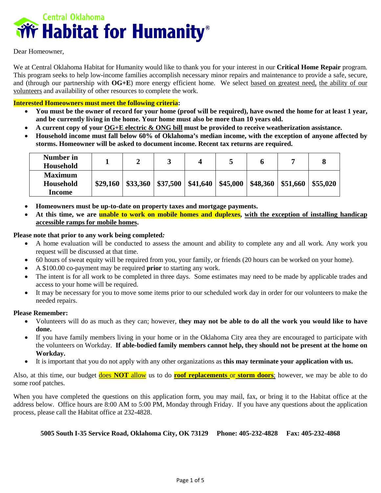

Dear Homeowner,

We at Central Oklahoma Habitat for Humanity would like to thank you for your interest in our **Critical Home Repair** program. This program seeks to help low-income families accomplish necessary minor repairs and maintenance to provide a safe, secure, and (through our partnership with **OG+E**) more energy efficient home. We select based on greatest need, the ability of our volunteers and availability of other resources to complete the work.

## **Interested Homeowners must meet the following criteria:**

- **You must be the owner of record for your home (proof will be required), have owned the home for at least 1 year, and be currently living in the home. Your home must also be more than 10 years old.**
- **A current copy of your OG+E electric & ONG bill must be provided to receive weatherization assistance.**
- **Household income must fall below 60% of Oklahoma's median income, with the exception of anyone affected by storms. Homeowner will be asked to document income. Recent tax returns are required.**

| Number in<br>Household      |          |          | ີ        |                        | ັ        |          |                             |  |
|-----------------------------|----------|----------|----------|------------------------|----------|----------|-----------------------------|--|
| <b>Maximum</b><br>Household | \$29,160 | \$33,360 | \$37,500 | $\frac{1}{2}$ \$41,640 | \$45,000 | \$48,360 | $\vert$ \$51,660   \$55,020 |  |
| Income                      |          |          |          |                        |          |          |                             |  |

- **Homeowners must be up-to-date on property taxes and mortgage payments.**
- **At this time, we are unable to work on mobile homes and duplexes, with the exception of installing handicap accessible ramps for mobile homes.**

## **Please note that prior to any work being completed***:*

- A home evaluation will be conducted to assess the amount and ability to complete any and all work. Any work you request will be discussed at that time.
- 60 hours of sweat equity will be required from you, your family, or friends (20 hours can be worked on your home).
- A \$100.00 co-payment may be required **prior** to starting any work.
- The intent is for all work to be completed in three days. Some estimates may need to be made by applicable trades and access to your home will be required.
- It may be necessary for you to move some items prior to our scheduled work day in order for our volunteers to make the needed repairs.

### **Please Remember:**

- Volunteers will do as much as they can; however, **they may not be able to do all the work you would like to have done.**
- If you have family members living in your home or in the Oklahoma City area they are encouraged to participate with the volunteers on Workday. **If able-bodied family members cannot help, they should not be present at the home on Workday.**
- It is important that you do not apply with any other organizations as **this may terminate your application with us.**

Also, at this time, our budget does **NOT** allow us to do **roof replacements** or **storm doors**; however, we may be able to do some roof patches.

When you have completed the questions on this application form, you may mail, fax, or bring it to the Habitat office at the address below. Office hours are 8:00 AM to 5:00 PM, Monday through Friday. If you have any questions about the application process, please call the Habitat office at 232-4828.

## **5005 South I-35 Service Road, Oklahoma City, OK 73129 Phone: 405-232-4828 Fax: 405-232-4868**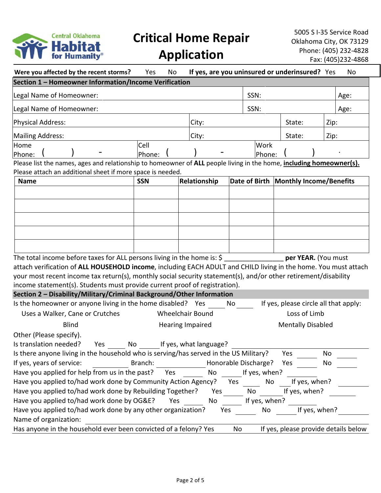

|  | <b>Application</b> |
|--|--------------------|
|--|--------------------|

| Were you affected by the recent storms?                                                                             | No<br>Yes  |                         |                      |               | If yes, are you uninsured or underinsured? Yes |               | No   |
|---------------------------------------------------------------------------------------------------------------------|------------|-------------------------|----------------------|---------------|------------------------------------------------|---------------|------|
| Section 1 - Homeowner Information/Income Verification                                                               |            |                         |                      |               |                                                |               |      |
| Legal Name of Homeowner:                                                                                            |            |                         |                      | SSN:          |                                                |               | Age: |
| Legal Name of Homeowner:                                                                                            |            |                         |                      | SSN:          |                                                |               | Age: |
| Physical Address:                                                                                                   |            | City:                   | State:               |               |                                                | Zip:          |      |
|                                                                                                                     |            |                         |                      |               |                                                |               |      |
| Mailing Address:                                                                                                    |            | City:                   | State:               |               |                                                | Zip:          |      |
| Home                                                                                                                | Cell       |                         |                      | Work          |                                                |               |      |
| Phone:                                                                                                              | Phone:     |                         |                      | Phone:        |                                                |               |      |
| Please list the names, ages and relationship to homeowner of ALL people living in the home, including homeowner(s). |            |                         |                      |               |                                                |               |      |
| Please attach an additional sheet if more space is needed.                                                          | <b>SSN</b> | Relationship            | Date of Birth        |               |                                                |               |      |
| <b>Name</b>                                                                                                         |            |                         |                      |               | <b>Monthly Income/Benefits</b>                 |               |      |
|                                                                                                                     |            |                         |                      |               |                                                |               |      |
|                                                                                                                     |            |                         |                      |               |                                                |               |      |
|                                                                                                                     |            |                         |                      |               |                                                |               |      |
|                                                                                                                     |            |                         |                      |               |                                                |               |      |
|                                                                                                                     |            |                         |                      |               |                                                |               |      |
|                                                                                                                     |            |                         |                      |               |                                                |               |      |
|                                                                                                                     |            |                         |                      |               |                                                |               |      |
|                                                                                                                     |            |                         |                      |               |                                                |               |      |
| The total income before taxes for ALL persons living in the home is: \$                                             |            |                         |                      |               | per YEAR. (You must                            |               |      |
| attach verification of ALL HOUSEHOLD income, including EACH ADULT and CHILD living in the home. You must attach     |            |                         |                      |               |                                                |               |      |
| your most recent income tax return(s), monthly social security statement(s), and/or other retirement/disability     |            |                         |                      |               |                                                |               |      |
| income statement(s). Students must provide current proof of registration).                                          |            |                         |                      |               |                                                |               |      |
| Section 2 - Disability/Military/Criminal Background/Other Information                                               |            |                         |                      |               |                                                |               |      |
| Is the homeowner or anyone living in the home disabled? Yes                                                         |            |                         | No                   |               | If yes, please circle all that apply:          |               |      |
| Uses a Walker, Cane or Crutches                                                                                     |            | <b>Wheelchair Bound</b> |                      |               | Loss of Limb                                   |               |      |
|                                                                                                                     |            |                         |                      |               |                                                |               |      |
| <b>Blind</b>                                                                                                        |            | <b>Hearing Impaired</b> |                      |               | <b>Mentally Disabled</b>                       |               |      |
| Other (Please specify).                                                                                             |            |                         |                      |               |                                                |               |      |
| Is translation needed?<br>Yes<br>No                                                                                 |            | If yes, what language?  |                      |               |                                                |               |      |
| Is there anyone living in the household who is serving/has served in the US Military?                               |            |                         |                      |               | Yes                                            | No            |      |
| If yes, years of service:                                                                                           | Branch:    |                         | Honorable Discharge? |               | Yes                                            | No            |      |
| Have you applied for help from us in the past?                                                                      | Yes        | No                      |                      | If yes, when? |                                                |               |      |
|                                                                                                                     |            |                         |                      |               |                                                |               |      |
| Have you applied to/had work done by Community Action Agency?                                                       |            |                         | Yes                  | No            | If yes, when?                                  |               |      |
| Have you applied to/had work done by Rebuilding Together?                                                           |            | Yes                     |                      | No            | If yes, when?                                  |               |      |
| Have you applied to/had work done by OG&E?                                                                          | Yes        | No                      |                      | If yes, when? |                                                |               |      |
| Have you applied to/had work done by any other organization?                                                        |            | Yes                     |                      | No            |                                                | If yes, when? |      |
| Name of organization:                                                                                               |            |                         |                      |               |                                                |               |      |
| Has anyone in the household ever been convicted of a felony? Yes                                                    |            |                         | No                   |               | If yes, please provide details below           |               |      |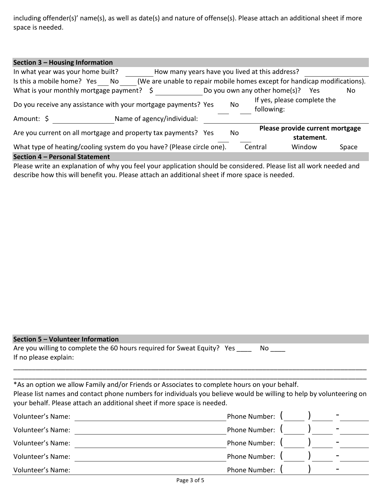including offender(s)' name(s), as well as date(s) and nature of offense(s). Please attach an additional sheet if more space is needed.

| Section 3 - Housing Information                                                                                       |                                                                      |  |  |         |                                   |       |
|-----------------------------------------------------------------------------------------------------------------------|----------------------------------------------------------------------|--|--|---------|-----------------------------------|-------|
| In what year was your home built?<br>How many years have you lived at this address?                                   |                                                                      |  |  |         |                                   |       |
| (We are unable to repair mobile homes except for handicap modifications).<br>Is this a mobile home? Yes<br>No         |                                                                      |  |  |         |                                   |       |
| What is your monthly mortgage payment?<br>Ş                                                                           |                                                                      |  |  |         | Do you own any other home(s)? Yes | No    |
| If yes, please complete the<br>Do you receive any assistance with your mortgage payments? Yes<br>No<br>following:     |                                                                      |  |  |         |                                   |       |
| Amount: \$                                                                                                            | Name of agency/individual:                                           |  |  |         |                                   |       |
| Please provide current mortgage<br>Are you current on all mortgage and property tax payments? Yes<br>No<br>statement. |                                                                      |  |  |         |                                   |       |
| What type of heating/cooling system do you have? (Please circle one).                                                 |                                                                      |  |  | Central | Window                            | Space |
| Section 4 - Personal Statement                                                                                        |                                                                      |  |  |         |                                   |       |
|                                                                                                                       | $\mathbf{r}$ . The contract of $\mathbf{r}$ is a set of $\mathbf{r}$ |  |  | .       |                                   |       |

Please write an explanation of why you feel your application should be considered. Please list all work needed and describe how this will benefit you. Please attach an additional sheet if more space is needed.

# **Section 5 – Volunteer Information**

Are you willing to complete the 60 hours required for Sweat Equity? Yes \_\_\_\_ No \_\_\_ If no please explain:

\*As an option we allow Family and/or Friends or Associates to complete hours on your behalf.

Please list names and contact phone numbers for individuals you believe would be willing to help by volunteering on your behalf. Please attach an additional sheet if more space is needed.

\_\_\_\_\_\_\_\_\_\_\_\_\_\_\_\_\_\_\_\_\_\_\_\_\_\_\_\_\_\_\_\_\_\_\_\_\_\_\_\_\_\_\_\_\_\_\_\_\_\_\_\_\_\_\_\_\_\_\_\_\_\_\_\_\_\_\_\_\_\_\_\_\_\_\_\_\_\_\_\_\_\_\_\_\_\_\_\_\_\_\_\_\_\_\_ \_\_\_\_\_\_\_\_\_\_\_\_\_\_\_\_\_\_\_\_\_\_\_\_\_\_\_\_\_\_\_\_\_\_\_\_\_\_\_\_\_\_\_\_\_\_\_\_\_\_\_\_\_\_\_\_\_\_\_\_\_\_\_\_\_\_\_\_\_\_\_\_\_\_\_\_\_\_\_\_\_\_\_\_\_\_\_\_\_\_\_\_\_\_\_

| Volunteer's Name:        | Phone Number: |  |   |
|--------------------------|---------------|--|---|
| Volunteer's Name:        | Phone Number: |  |   |
| Volunteer's Name:        | Phone Number: |  | - |
| <b>Volunteer's Name:</b> | Phone Number: |  | - |
| Volunteer's Name:        | Phone Number: |  | - |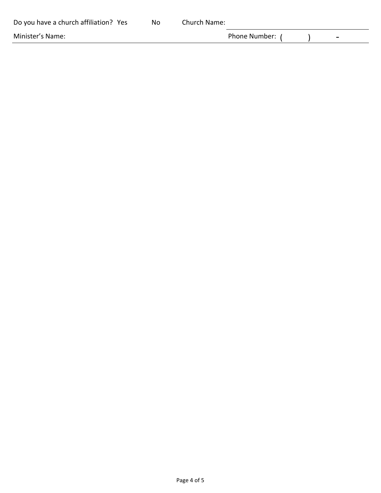| Do you have a church affiliation? Yes | No | Church Name: |                 |   |
|---------------------------------------|----|--------------|-----------------|---|
| Minister's Name:                      |    |              | Phone Number: ( | - |